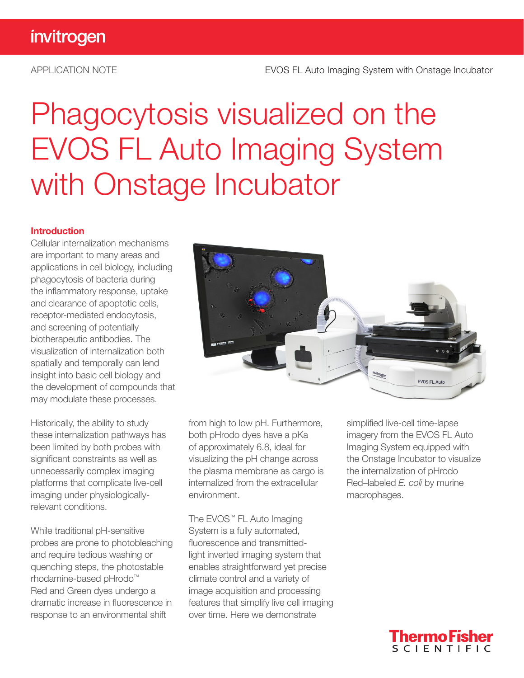# Phagocytosis visualized on the EVOS FL Auto Imaging System with Onstage Incubator

#### Introduction

Cellular internalization mechanisms are important to many areas and applications in cell biology, including phagocytosis of bacteria during the inflammatory response, uptake and clearance of apoptotic cells, receptor-mediated endocytosis, and screening of potentially biotherapeutic antibodies. The visualization of internalization both spatially and temporally can lend insight into basic cell biology and the development of compounds that may modulate these processes.

Historically, the ability to study these internalization pathways has been limited by both probes with significant constraints as well as unnecessarily complex imaging platforms that complicate live-cell imaging under physiologicallyrelevant conditions.

While traditional pH-sensitive probes are prone to photobleaching and require tedious washing or quenching steps, the photostable rhodamine-based pHrodo™ Red and Green dyes undergo a dramatic increase in fluorescence in response to an environmental shift



from high to low pH. Furthermore, both pHrodo dyes have a pKa of approximately 6.8, ideal for visualizing the pH change across the plasma membrane as cargo is internalized from the extracellular environment.

The EVOS™ FL Auto Imaging System is a fully automated, fluorescence and transmittedlight inverted imaging system that enables straightforward yet precise climate control and a variety of image acquisition and processing features that simplify live cell imaging over time. Here we demonstrate

simplified live-cell time-lapse imagery from the EVOS FL Auto Imaging System equipped with the Onstage Incubator to visualize the internalization of pHrodo Red–labeled *E. coli* by murine macrophages.